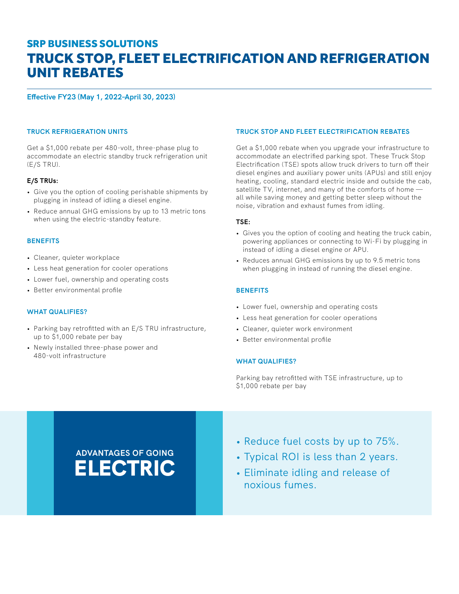## TRUCK STOP, FLEET ELECTRIFICATION AND REFRIGERATION UNIT REBATES SRP BUSINESS SOLUTIONS

**Effective FY23 (May 1, 2022–April 30, 2023)**

#### **TRUCK REFRIGERATION UNITS**

Get a \$1,000 rebate per 480-volt, three-phase plug to accommodate an electric standby truck refrigeration unit (E/S TRU).

## **E/S TRUs:**

- Give you the option of cooling perishable shipments by plugging in instead of idling a diesel engine.
- Reduce annual GHG emissions by up to 13 metric tons when using the electric-standby feature.

#### **BENEFITS**

- Cleaner, quieter workplace
- Less heat generation for cooler operations
- Lower fuel, ownership and operating costs
- Better environmental profile

#### **WHAT QUALIFIES?**

- Parking bay retrofitted with an E/S TRU infrastructure, up to \$1,000 rebate per bay
- Newly installed three-phase power and 480-volt infrastructure

### **TRUCK STOP AND FLEET ELECTRIFICATION REBATES**

Get a \$1,000 rebate when you upgrade your infrastructure to accommodate an electrified parking spot. These Truck Stop Electrification (TSE) spots allow truck drivers to turn off their diesel engines and auxiliary power units (APUs) and still enjoy heating, cooling, standard electric inside and outside the cab, satellite TV, internet, and many of the comforts of home all while saving money and getting better sleep without the noise, vibration and exhaust fumes from idling.

#### **TSE:**

- Gives you the option of cooling and heating the truck cabin, powering appliances or connecting to Wi-Fi by plugging in instead of idling a diesel engine or APU.
- Reduces annual GHG emissions by up to 9.5 metric tons when plugging in instead of running the diesel engine.

#### **BENEFITS**

- Lower fuel, ownership and operating costs
- Less heat generation for cooler operations
- Cleaner, quieter work environment
- Better environmental profile

#### **WHAT QUALIFIES?**

Parking bay retrofitted with TSE infrastructure, up to \$1,000 rebate per bay

# **ADVANTAGES OF GOING** ELECTRIC

- Reduce fuel costs by up to 75%.
- Typical ROI is less than 2 years.
- Eliminate idling and release of noxious fumes.